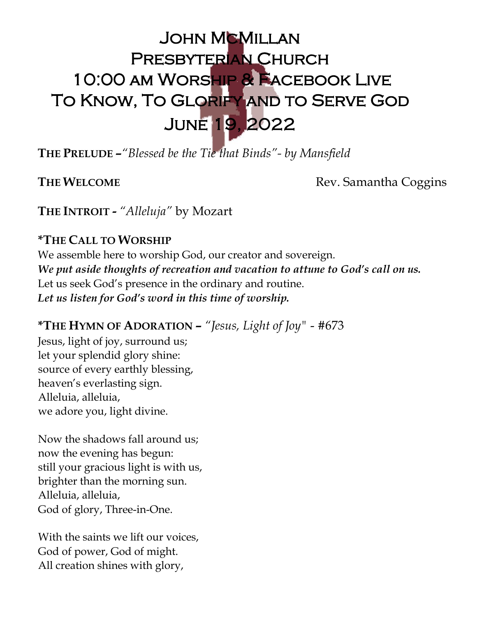# JOHN MCMILLAN Presbyterian Church 10:00 am Worship & Facebook Live To Know, To Glorify and to Serve God June 19, 2022

**THE PRELUDE –***"Blessed be the Tie that Binds"- by Mansfield*

**THE WELCOME Rev. Samantha Coggins** 

**THE INTROIT** *- "Alleluja"* by Mozart

## **\*THE CALL TO WORSHIP**

We assemble here to worship God, our creator and sovereign. *We put aside thoughts of recreation and vacation to attune to God's call on us.* Let us seek God's presence in the ordinary and routine. *Let us listen for God's word in this time of worship.*

## **\*THE HYMN OF ADORATION –** *"Jesus, Light of Joy"* - #673

Jesus, light of joy, surround us; let your splendid glory shine: source of every earthly blessing, heaven's everlasting sign. Alleluia, alleluia, we adore you, light divine.

Now the shadows fall around us; now the evening has begun: still your gracious light is with us, brighter than the morning sun. Alleluia, alleluia, God of glory, Three-in-One.

With the saints we lift our voices, God of power, God of might. All creation shines with glory,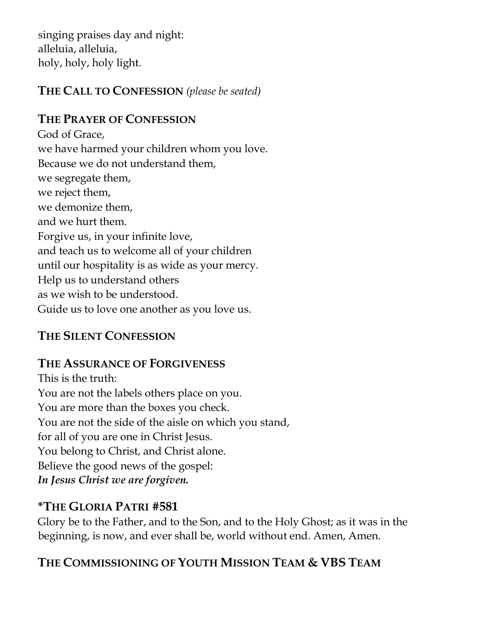singing praises day and night: alleluia, alleluia, holy, holy, holy light.

## **THE CALL TO CONFESSION** *(please be seated)*

## **THE PRAYER OF CONFESSION**

God of Grace, we have harmed your children whom you love. Because we do not understand them, we segregate them, we reject them, we demonize them, and we hurt them. Forgive us, in your infinite love, and teach us to welcome all of your children until our hospitality is as wide as your mercy. Help us to understand others as we wish to be understood. Guide us to love one another as you love us.

## **THE SILENT CONFESSION**

#### **THE ASSURANCE OF FORGIVENESS**

This is the truth: You are not the labels others place on you. You are more than the boxes you check. You are not the side of the aisle on which you stand, for all of you are one in Christ Jesus. You belong to Christ, and Christ alone. Believe the good news of the gospel: *In Jesus Christ we are forgiven.*

#### **\*THE GLORIA PATRI #581**

Glory be to the Father, and to the Son, and to the Holy Ghost; as it was in the beginning, is now, and ever shall be, world without end. Amen, Amen.

# **THE COMMISSIONING OF YOUTH MISSION TEAM & VBS TEAM**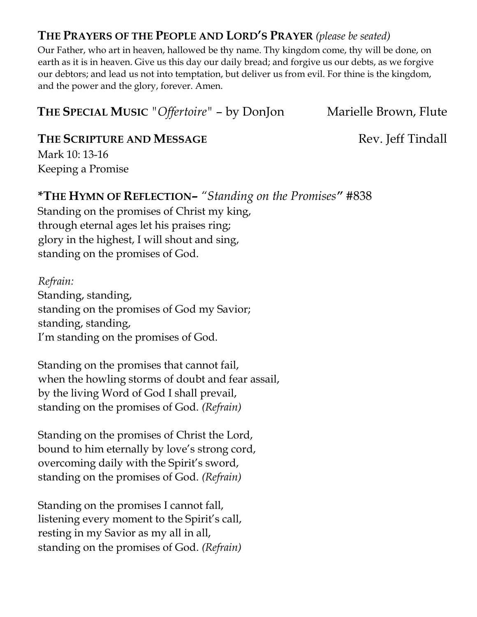#### **THE PRAYERS OF THE PEOPLE AND LORD'S PRAYER** *(please be seated)*

Our Father, who art in heaven, hallowed be thy name. Thy kingdom come, thy will be done, on earth as it is in heaven. Give us this day our daily bread; and forgive us our debts, as we forgive our debtors; and lead us not into temptation, but deliver us from evil. For thine is the kingdom, and the power and the glory, forever. Amen.

**THE SPECIAL MUSIC** *"Offertoire"* – by DonJon Marielle Brown, Flute

#### **THE SCRIPTURE AND MESSAGE Rev. Jeff Tindall**

Mark 10: 13-16 Keeping a Promise

## **\*THE HYMN OF REFLECTION–** *"Standing on the Promises"* #838

Standing on the promises of Christ my king, through eternal ages let his praises ring; glory in the highest, I will shout and sing, standing on the promises of God.

*Refrain:* Standing, standing, standing on the promises of God my Savior; standing, standing, I'm standing on the promises of God.

Standing on the promises that cannot fail, when the howling storms of doubt and fear assail, by the living Word of God I shall prevail, standing on the promises of God. *(Refrain)*

Standing on the promises of Christ the Lord, bound to him eternally by love's strong cord, overcoming daily with the Spirit's sword, standing on the promises of God. *(Refrain)*

Standing on the promises I cannot fall, listening every moment to the Spirit's call, resting in my Savior as my all in all, standing on the promises of God. *(Refrain)*